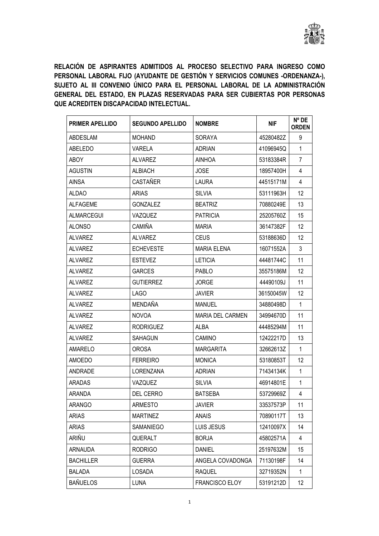

RELACIÓN DE ASPIRANTES ADMITIDOS AL PROCESO SELECTIVO PARA INGRESO COMO PERSONAL LABORAL FIJO (AYUDANTE DE GESTIÓN Y SERVICIOS COMUNES -ORDENANZA-), SUJETO AL III CONVENIO ÚNICO PARA EL PERSONAL LABORAL DE LA ADMINISTRACIÓN GENERAL DEL ESTADO, EN PLAZAS RESERVADAS PARA SER CUBIERTAS POR PERSONAS QUE ACREDITEN DISCAPACIDAD INTELECTUAL.

| <b>PRIMER APELLIDO</b> | <b>SEGUNDO APELLIDO</b> | <b>NOMBRE</b>           | <b>NIF</b> | N° DE<br><b>ORDEN</b> |
|------------------------|-------------------------|-------------------------|------------|-----------------------|
| ABDESLAM               | <b>MOHAND</b>           | <b>SORAYA</b>           | 45280482Z  | 9                     |
| <b>ABELEDO</b>         | <b>VARELA</b>           | <b>ADRIAN</b>           | 41096945Q  | $\mathbf{1}$          |
| <b>ABOY</b>            | <b>ALVAREZ</b>          | AINHOA                  | 53183384R  | $\overline{7}$        |
| <b>AGUSTIN</b>         | <b>ALBIACH</b>          | <b>JOSE</b>             | 18957400H  | 4                     |
| <b>AINSA</b>           | CASTAÑER                | LAURA                   | 44515171M  | 4                     |
| <b>ALDAO</b>           | ARIAS                   | SILVIA                  | 53111963H  | 12                    |
| AI FAGEME              | <b>GONZALEZ</b>         | <b>BEATRIZ</b>          | 70880249E  | 13                    |
| <b>ALMARCEGUI</b>      | VAZQUEZ                 | <b>PATRICIA</b>         | 25205760Z  | 15                    |
| <b>ALONSO</b>          | CAMIÑA                  | <b>MARIA</b>            | 36147382F  | 12                    |
| ALVAREZ                | <b>ALVAREZ</b>          | <b>CEUS</b>             | 53188636D  | 12                    |
| <b>ALVAREZ</b>         | <b>ECHEVESTE</b>        | <b>MARIA ELENA</b>      | 16071552A  | 3                     |
| <b>ALVAREZ</b>         | <b>ESTEVEZ</b>          | <b>LETICIA</b>          | 44481744C  | 11                    |
| ALVAREZ                | <b>GARCES</b>           | PABL <sub>O</sub>       | 35575186M  | 12                    |
| <b>ALVAREZ</b>         | <b>GUTIERREZ</b>        | <b>JORGE</b>            | 44490109J  | 11                    |
| ALVAREZ                | LAGO                    | <b>JAVIER</b>           | 36150045W  | 12                    |
| ALVAREZ                | <b>MENDAÑA</b>          | <b>MANUEL</b>           | 34880498D  | 1                     |
| <b>ALVAREZ</b>         | <b>NOVOA</b>            | <b>MARIA DEL CARMEN</b> | 34994670D  | 11                    |
| <b>ALVAREZ</b>         | <b>RODRIGUEZ</b>        | ALBA                    | 44485294M  | 11                    |
| <b>ALVAREZ</b>         | <b>SAHAGUN</b>          | <b>CAMINO</b>           | 12422217D  | 13                    |
| AMARELO                | <b>OROSA</b>            | <b>MARGARITA</b>        | 32662613Z  | 1                     |
| AMOEDO                 | <b>FERREIRO</b>         | <b>MONICA</b>           | 53180853T  | 12                    |
| ANDRADE                | LORENZANA               | <b>ADRIAN</b>           | 71434134K  | $\mathbf{1}$          |
| ARADAS                 | VAZQUEZ                 | <b>SILVIA</b>           | 46914801E  | $\mathbf{1}$          |
| ARANDA                 | <b>DEL CERRO</b>        | <b>BATSEBA</b>          | 53729969Z  | 4                     |
| <b>ARANGO</b>          | ARMESTO                 | <b>JAVIER</b>           | 33537573P  | 11                    |
| <b>ARIAS</b>           | <b>MARTINEZ</b>         | <b>ANAIS</b>            | 70890117T  | 13                    |
| <b>ARIAS</b>           | SAMANIEGO               | LUIS JESUS              | 12410097X  | 14                    |
| ARIÑU                  | QUERALT                 | <b>BORJA</b>            | 45802571A  | 4                     |
| <b>ARNAUDA</b>         | <b>RODRIGO</b>          | <b>DANIEL</b>           | 25197632M  | 15                    |
| <b>BACHILLER</b>       | <b>GUERRA</b>           | ANGELA COVADONGA        | 71130198F  | 14                    |
| <b>BALADA</b>          | <b>LOSADA</b>           | <b>RAQUEL</b>           | 32719352N  | 1                     |
| <b>BAÑUELOS</b>        | <b>LUNA</b>             | FRANCISCO ELOY          | 53191212D  | 12                    |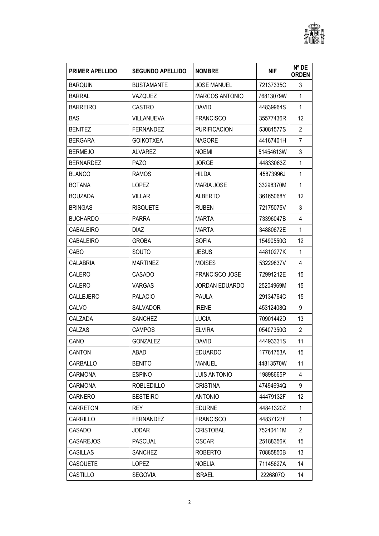

| <b>PRIMER APELLIDO</b> | <b>SEGUNDO APELLIDO</b> | <b>NOMBRE</b>         | <b>NIF</b> | $N^{\circ}$ DE<br><b>ORDEN</b> |
|------------------------|-------------------------|-----------------------|------------|--------------------------------|
| <b>BARQUIN</b>         | <b>BUSTAMANTE</b>       | <b>JOSE MANUEL</b>    | 72137335C  | 3                              |
| <b>BARRAL</b>          | VAZQUEZ                 | <b>MARCOS ANTONIO</b> | 76813079W  | $\mathbf{1}$                   |
| <b>BARREIRO</b>        | <b>CASTRO</b>           | DAVID                 | 44839964S  | $\mathbf{1}$                   |
| <b>BAS</b>             | VILLANUEVA              | <b>FRANCISCO</b>      | 35577436R  | 12                             |
| <b>BENITEZ</b>         | <b>FERNANDEZ</b>        | <b>PURIFICACION</b>   | 53081577S  | $\overline{2}$                 |
| <b>BERGARA</b>         | <b>GOIKOTXEA</b>        | <b>NAGORE</b>         | 44167401H  | 7                              |
| <b>BERMEJO</b>         | <b>ALVAREZ</b>          | <b>NOEMI</b>          | 51454613W  | 3                              |
| <b>BERNARDEZ</b>       | <b>PAZO</b>             | <b>JORGE</b>          | 44833063Z  | 1                              |
| <b>BLANCO</b>          | <b>RAMOS</b>            | HILDA                 | 45873996J  | 1                              |
| <b>BOTANA</b>          | <b>LOPEZ</b>            | <b>MARIA JOSE</b>     | 33298370M  | 1                              |
| <b>BOUZADA</b>         | <b>VILLAR</b>           | <b>ALBERTO</b>        | 36165068Y  | 12                             |
| <b>BRINGAS</b>         | <b>RISQUETE</b>         | <b>RUBEN</b>          | 72175075V  | 3                              |
| <b>BUCHARDO</b>        | <b>PARRA</b>            | <b>MARTA</b>          | 73396047B  | 4                              |
| <b>CABALEIRO</b>       | <b>DIAZ</b>             | <b>MARTA</b>          | 34880672E  | $\mathbf{1}$                   |
| CABALEIRO              | <b>GROBA</b>            | <b>SOFIA</b>          | 15490550G  | 12                             |
| CABO                   | <b>SOUTO</b>            | <b>JESUS</b>          | 44810277K  | $\mathbf{1}$                   |
| <b>CALABRIA</b>        | <b>MARTINEZ</b>         | <b>MOISES</b>         | 53229837V  | 4                              |
| CALERO                 | CASADO                  | <b>FRANCISCO JOSE</b> | 72991212E  | 15                             |
| CALERO                 | <b>VARGAS</b>           | <b>JORDAN EDUARDO</b> | 25204969M  | 15                             |
| CALLEJERO              | <b>PALACIO</b>          | PAULA                 | 29134764C  | 15                             |
| CALVO                  | <b>SALVADOR</b>         | <b>IRENE</b>          | 45312408Q  | 9                              |
| CALZADA                | <b>SANCHEZ</b>          | <b>LUCIA</b>          | 70901442D  | 13                             |
| CALZAS                 | <b>CAMPOS</b>           | <b>ELVIRA</b>         | 05407350G  | $\overline{2}$                 |
| CANO                   | <b>GONZALEZ</b>         | <b>DAVID</b>          | 44493331S  | 11                             |
| CANTON                 | ABAD                    | <b>EDUARDO</b>        | 17761753A  | 15                             |
| CARBALLO               | <b>BENITO</b>           | MANUEL                | 44813570W  | 11                             |
| <b>CARMONA</b>         | <b>ESPINO</b>           | LUIS ANTONIO          | 19898665P  | 4                              |
| CARMONA                | ROBLEDILLO              | <b>CRISTINA</b>       | 47494694Q  | 9                              |
| CARNERO                | <b>BESTEIRO</b>         | <b>ANTONIO</b>        | 44479132F  | 12                             |
| CARRETON               | <b>REY</b>              | <b>EDURNE</b>         | 44841320Z  | 1                              |
| CARRILLO               | <b>FERNANDEZ</b>        | <b>FRANCISCO</b>      | 44837127F  | 1                              |
| CASADO                 | <b>JODAR</b>            | <b>CRISTOBAL</b>      | 75240411M  | 2                              |
| <b>CASAREJOS</b>       | <b>PASCUAL</b>          | <b>OSCAR</b>          | 25188356K  | 15                             |
| <b>CASILLAS</b>        | <b>SANCHEZ</b>          | <b>ROBERTO</b>        | 70885850B  | 13                             |
| CASQUETE               | <b>LOPEZ</b>            | <b>NOELIA</b>         | 71145627A  | 14                             |
| CASTILLO               | <b>SEGOVIA</b>          | <b>ISRAEL</b>         | 2226807Q   | 14                             |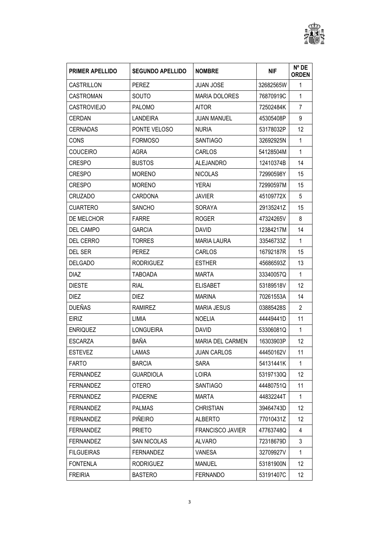

| <b>PRIMER APELLIDO</b> | <b>SEGUNDO APELLIDO</b> | <b>NOMBRE</b>           | <b>NIF</b> | $N^{\circ}$ DE<br><b>ORDEN</b> |
|------------------------|-------------------------|-------------------------|------------|--------------------------------|
| CASTRILLON             | <b>PEREZ</b>            | <b>JUAN JOSE</b>        | 32682565W  | $\mathbf 1$                    |
| <b>CASTROMAN</b>       | SOUTO                   | <b>MARIA DOLORES</b>    | 76870919C  | $\mathbf{1}$                   |
| <b>CASTROVIEJO</b>     | <b>PALOMO</b>           | <b>AITOR</b>            | 72502484K  | 7                              |
| <b>CERDAN</b>          | <b>LANDEIRA</b>         | <b>JUAN MANUEL</b>      | 45305408P  | 9                              |
| CERNADAS               | PONTE VELOSO            | <b>NURIA</b>            | 53178032P  | 12                             |
| CONS                   | <b>FORMOSO</b>          | <b>SANTIAGO</b>         | 32692925N  | $\mathbf{1}$                   |
| <b>COUCEIRO</b>        | AGRA                    | CARLOS                  | 54128504M  | 1                              |
| <b>CRESPO</b>          | <b>BUSTOS</b>           | <b>ALEJANDRO</b>        | 12410374B  | 14                             |
| <b>CRESPO</b>          | <b>MORENO</b>           | <b>NICOLAS</b>          | 72990598Y  | 15                             |
| <b>CRESPO</b>          | <b>MORENO</b>           | <b>YERAI</b>            | 72990597M  | 15                             |
| CRUZADO                | <b>CARDONA</b>          | <b>JAVIER</b>           | 45109772X  | 5                              |
| <b>CUARTERO</b>        | <b>SANCHO</b>           | SORAYA                  | 29135241Z  | 15                             |
| DE MELCHOR             | <b>FARRE</b>            | <b>ROGER</b>            | 47324265V  | 8                              |
| DEL CAMPO              | <b>GARCIA</b>           | <b>DAVID</b>            | 12384217M  | 14                             |
| DEL CERRO              | <b>TORRES</b>           | <b>MARIA LAURA</b>      | 33546733Z  | $\mathbf{1}$                   |
| DEL SER                | <b>PEREZ</b>            | CARLOS                  | 16792187R  | 15                             |
| <b>DELGADO</b>         | <b>RODRIGUEZ</b>        | <b>ESTHER</b>           | 45686593Z  | 13                             |
| <b>DIAZ</b>            | <b>TABOADA</b>          | <b>MARTA</b>            | 33340057Q  | $\mathbf{1}$                   |
| <b>DIESTE</b>          | <b>RIAL</b>             | <b>ELISABET</b>         | 53189518V  | 12                             |
| <b>DIEZ</b>            | <b>DIEZ</b>             | <b>MARINA</b>           | 70261553A  | 14                             |
| <b>DUEÑAS</b>          | <b>RAMIREZ</b>          | <b>MARIA JESUS</b>      | 03885428S  | $\overline{2}$                 |
| <b>EIRIZ</b>           | LIMIA                   | <b>NOELIA</b>           | 44449441D  | 11                             |
| <b>ENRIQUEZ</b>        | <b>LONGUEIRA</b>        | <b>DAVID</b>            | 53306081Q  | $\mathbf{1}$                   |
| <b>ESCARZA</b>         | <b>BAÑA</b>             | <b>MARIA DEL CARMEN</b> | 16303903P  | 12                             |
| <b>ESTEVEZ</b>         | LAMAS                   | <b>JUAN CARLOS</b>      | 44450162V  | 11                             |
| <b>FARTO</b>           | <b>BARCIA</b>           | <b>SARA</b>             | 54131441K  | $\mathbf{1}$                   |
| <b>FERNANDEZ</b>       | <b>GUARDIOLA</b>        | LOIRA                   | 53197130Q  | 12                             |
| <b>FERNANDEZ</b>       | <b>OTERO</b>            | <b>SANTIAGO</b>         | 44480751Q  | 11                             |
| FERNANDEZ              | <b>PADERNE</b>          | <b>MARTA</b>            | 44832244T  | 1                              |
| FERNANDEZ              | <b>PALMAS</b>           | <b>CHRISTIAN</b>        | 39464743D  | 12                             |
| <b>FERNANDEZ</b>       | <b>PIÑEIRO</b>          | <b>ALBERTO</b>          | 77010431Z  | 12                             |
| <b>FERNANDEZ</b>       | <b>PRIETO</b>           | <b>FRANCISCO JAVIER</b> | 47763748Q  | 4                              |
| <b>FERNANDEZ</b>       | <b>SAN NICOLAS</b>      | <b>ALVARO</b>           | 72318679D  | 3                              |
| <b>FILGUEIRAS</b>      | <b>FERNANDEZ</b>        | VANESA                  | 32709927V  | 1                              |
| <b>FONTENLA</b>        | <b>RODRIGUEZ</b>        | <b>MANUEL</b>           | 53181900N  | 12                             |
| <b>FREIRIA</b>         | <b>BASTERO</b>          | <b>FERNANDO</b>         | 53191407C  | 12                             |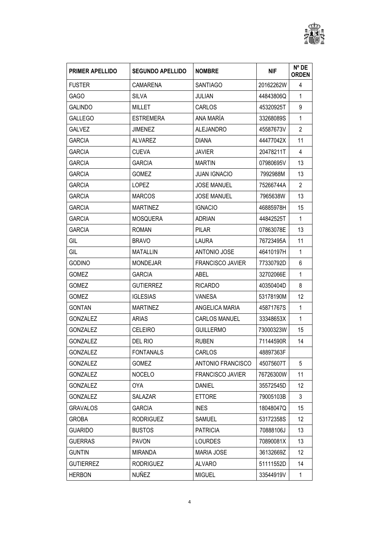

| <b>PRIMER APELLIDO</b> | <b>SEGUNDO APELLIDO</b> | <b>NOMBRE</b>           | <b>NIF</b> | N° DE<br><b>ORDEN</b> |
|------------------------|-------------------------|-------------------------|------------|-----------------------|
| <b>FUSTER</b>          | CAMARENA                | <b>SANTIAGO</b>         | 20162262W  | 4                     |
| <b>GAGO</b>            | <b>SILVA</b>            | <b>JULIAN</b>           | 44843806Q  | $\mathbf{1}$          |
| <b>GALINDO</b>         | <b>MILLET</b>           | <b>CARLOS</b>           | 45320925T  | 9                     |
| <b>GALLEGO</b>         | <b>ESTREMERA</b>        | ANA MARÍA               | 33268089S  | $\mathbf 1$           |
| <b>GALVEZ</b>          | <b>JIMENEZ</b>          | <b>ALEJANDRO</b>        | 45587673V  | $\overline{2}$        |
| <b>GARCIA</b>          | <b>ALVAREZ</b>          | DIANA                   | 44477042X  | 11                    |
| <b>GARCIA</b>          | <b>CUEVA</b>            | <b>JAVIER</b>           | 20478211T  | 4                     |
| <b>GARCIA</b>          | <b>GARCIA</b>           | <b>MARTIN</b>           | 07980695V  | 13                    |
| <b>GARCIA</b>          | <b>GOMEZ</b>            | <b>JUAN IGNACIO</b>     | 7992988M   | 13                    |
| <b>GARCIA</b>          | <b>LOPEZ</b>            | <b>JOSE MANUEL</b>      | 75266744A  | $\overline{2}$        |
| <b>GARCIA</b>          | <b>MARCOS</b>           | <b>JOSE MANUEL</b>      | 7965638W   | 13                    |
| <b>GARCIA</b>          | <b>MARTINEZ</b>         | <b>IGNACIO</b>          | 46885978H  | 15                    |
| <b>GARCIA</b>          | <b>MOSQUERA</b>         | <b>ADRIAN</b>           | 44842525T  | $\mathbf{1}$          |
| <b>GARCIA</b>          | <b>ROMAN</b>            | <b>PILAR</b>            | 07863078E  | 13                    |
| GIL                    | <b>BRAVO</b>            | LAURA                   | 76723495A  | 11                    |
| GIL                    | <b>MATALLIN</b>         | <b>ANTONIO JOSE</b>     | 46410197H  | $\mathbf{1}$          |
| <b>GODINO</b>          | <b>MONDEJAR</b>         | <b>FRANCISCO JAVIER</b> | 77330792D  | 6                     |
| <b>GOMEZ</b>           | <b>GARCIA</b>           | ABEL                    | 32702066E  | 1                     |
| <b>GOMEZ</b>           | <b>GUTIERREZ</b>        | <b>RICARDO</b>          | 40350404D  | 8                     |
| <b>GOMEZ</b>           | <b>IGLESIAS</b>         | <b>VANESA</b>           | 53178190M  | 12                    |
| <b>GONTAN</b>          | <b>MARTINEZ</b>         | ANGELICA MARIA          | 45871767S  | 1                     |
| <b>GONZALEZ</b>        | <b>ARIAS</b>            | <b>CARLOS MANUEL</b>    | 33348653X  | 1                     |
| <b>GONZALEZ</b>        | <b>CELEIRO</b>          | <b>GUILLERMO</b>        | 73000323W  | 15                    |
| <b>GONZALEZ</b>        | DEL RIO                 | <b>RUBEN</b>            | 71144590R  | 14                    |
| <b>GONZALEZ</b>        | <b>FONTANALS</b>        | <b>CARLOS</b>           | 48897363F  |                       |
| <b>GONZALEZ</b>        | <b>GOMEZ</b>            | ANTONIO FRANCISCO       | 45075607T  | 5                     |
| <b>GONZALEZ</b>        | <b>NOCELO</b>           | <b>FRANCISCO JAVIER</b> | 76726300W  | 11                    |
| <b>GONZALEZ</b>        | <b>OYA</b>              | <b>DANIEL</b>           | 35572545D  | 12                    |
| <b>GONZALEZ</b>        | SALAZAR                 | <b>ETTORE</b>           | 79005103B  | 3                     |
| <b>GRAVALOS</b>        | <b>GARCIA</b>           | <b>INES</b>             | 18048047Q  | 15                    |
| <b>GROBA</b>           | <b>RODRIGUEZ</b>        | <b>SAMUEL</b>           | 53172358S  | 12                    |
| <b>GUARIDO</b>         | <b>BUSTOS</b>           | <b>PATRICIA</b>         | 70888106J  | 13                    |
| <b>GUERRAS</b>         | <b>PAVON</b>            | <b>LOURDES</b>          | 70890081X  | 13                    |
| <b>GUNTIN</b>          | <b>MIRANDA</b>          | <b>MARIA JOSE</b>       | 36132669Z  | 12                    |
| <b>GUTIERREZ</b>       | <b>RODRIGUEZ</b>        | <b>ALVARO</b>           | 51111552D  | 14                    |
| <b>HERBON</b>          | <b>NUÑEZ</b>            | <b>MIGUEL</b>           | 33544919V  | 1                     |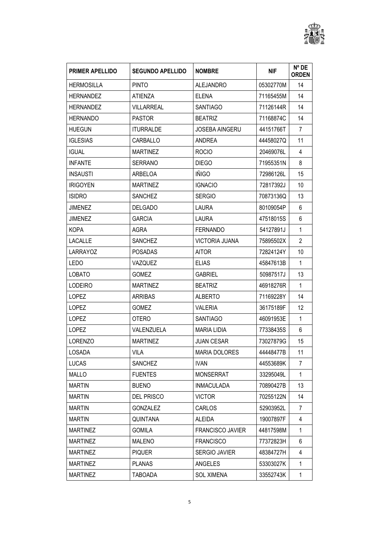

| <b>PRIMER APELLIDO</b> | <b>SEGUNDO APELLIDO</b> | <b>NOMBRE</b>           | <b>NIF</b> | $N^{\circ}$ DE<br><b>ORDEN</b> |
|------------------------|-------------------------|-------------------------|------------|--------------------------------|
| <b>HERMOSILLA</b>      | <b>PINTO</b>            | <b>ALEJANDRO</b>        | 05302770M  | 14                             |
| <b>HERNANDEZ</b>       | <b>ATIENZA</b>          | <b>ELENA</b>            | 71165455M  | 14                             |
| <b>HERNANDEZ</b>       | <b>VILLARREAL</b>       | <b>SANTIAGO</b>         | 71126144R  | 14                             |
| <b>HERNANDO</b>        | <b>PASTOR</b>           | <b>BEATRIZ</b>          | 71168874C  | 14                             |
| <b>HUEGUN</b>          | <b>ITURRALDE</b>        | <b>JOSEBA AINGERU</b>   | 44151766T  | $\overline{7}$                 |
| <b>IGLESIAS</b>        | CARBALLO                | ANDREA                  | 44458027Q  | 11                             |
| <b>IGUAL</b>           | <b>MARTINEZ</b>         | <b>ROCIO</b>            | 20469076L  | 4                              |
| <b>INFANTE</b>         | <b>SERRANO</b>          | <b>DIEGO</b>            | 71955351N  | 8                              |
| <b>INSAUSTI</b>        | ARBELOA                 | <b>IÑIGO</b>            | 72986126L  | 15                             |
| <b>IRIGOYEN</b>        | <b>MARTINEZ</b>         | <b>IGNACIO</b>          | 72817392J  | 10                             |
| <b>ISIDRO</b>          | <b>SANCHEZ</b>          | <b>SERGIO</b>           | 70873136Q  | 13                             |
| <b>JIMENEZ</b>         | <b>DELGADO</b>          | LAURA                   | 80109054P  | 6                              |
| <b>JIMENEZ</b>         | <b>GARCIA</b>           | LAURA                   | 47518015S  | 6                              |
| KOPA                   | AGRA                    | <b>FERNANDO</b>         | 54127891J  | $\mathbf{1}$                   |
| <b>LACALLE</b>         | <b>SANCHEZ</b>          | VICTORIA JUANA          | 75895502X  | $\overline{2}$                 |
| LARRAYOZ               | <b>POSADAS</b>          | <b>AITOR</b>            | 72824124Y  | 10                             |
| <b>LEDO</b>            | VAZQUEZ                 | <b>ELIAS</b>            | 45847613B  | 1                              |
| <b>LOBATO</b>          | <b>GOMEZ</b>            | <b>GABRIEL</b>          | 50987517J  | 13                             |
| <b>LODEIRO</b>         | <b>MARTINEZ</b>         | <b>BEATRIZ</b>          | 46918276R  | $\mathbf{1}$                   |
| <b>LOPEZ</b>           | ARRIBAS                 | <b>ALBERTO</b>          | 71169228Y  | 14                             |
| <b>LOPEZ</b>           | <b>GOMEZ</b>            | <b>VALERIA</b>          | 36175189F  | 12                             |
| <b>LOPEZ</b>           | <b>OTERO</b>            | <b>SANTIAGO</b>         | 46091953E  | $\mathbf{1}$                   |
| <b>LOPEZ</b>           | VALENZUELA              | <b>MARIA LIDIA</b>      | 77338435S  | 6                              |
| LORENZO                | <b>MARTINEZ</b>         | <b>JUAN CESAR</b>       | 73027879G  | 15                             |
| <b>LOSADA</b>          | <b>VILA</b>             | <b>MARIA DOLORES</b>    | 44448477B  | 11                             |
| <b>LUCAS</b>           | <b>SANCHEZ</b>          | <b>IVAN</b>             | 44553689K  | 7                              |
| MALLO                  | <b>FUENTES</b>          | <b>MONSERRAT</b>        | 33295049L  | $\mathbf{1}$                   |
| <b>MARTIN</b>          | <b>BUENO</b>            | <b>INMACULADA</b>       | 70890427B  | 13                             |
| <b>MARTIN</b>          | <b>DEL PRISCO</b>       | <b>VICTOR</b>           | 70255122N  | 14                             |
| <b>MARTIN</b>          | <b>GONZALEZ</b>         | <b>CARLOS</b>           | 52903952L  | 7                              |
| <b>MARTIN</b>          | QUINTANA                | ALEIDA                  | 19007897F  | 4                              |
| <b>MARTINEZ</b>        | <b>GOMILA</b>           | <b>FRANCISCO JAVIER</b> | 44817598M  | 1                              |
| <b>MARTINEZ</b>        | <b>MALENO</b>           | <b>FRANCISCO</b>        | 77372823H  | 6                              |
| <b>MARTINEZ</b>        | <b>PIQUER</b>           | <b>SERGIO JAVIER</b>    | 48384727H  | 4                              |
| <b>MARTINEZ</b>        | <b>PLANAS</b>           | ANGELES                 | 53303027K  | 1                              |
| <b>MARTINEZ</b>        | <b>TABOADA</b>          | <b>SOL XIMENA</b>       | 33552743K  | $\mathbf{1}$                   |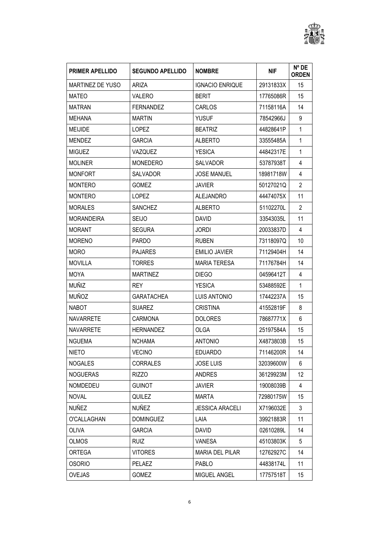

| <b>PRIMER APELLIDO</b>  | <b>SEGUNDO APELLIDO</b> | <b>NOMBRE</b>          | <b>NIF</b> | N° DE<br><b>ORDEN</b> |
|-------------------------|-------------------------|------------------------|------------|-----------------------|
| <b>MARTINEZ DE YUSO</b> | <b>ARIZA</b>            | <b>IGNACIO ENRIQUE</b> | 29131833X  | 15                    |
| <b>MATEO</b>            | <b>VALERO</b>           | <b>BERIT</b>           | 17765086R  | 15                    |
| <b>MATRAN</b>           | <b>FERNANDEZ</b>        | <b>CARLOS</b>          | 71158116A  | 14                    |
| <b>MEHANA</b>           | <b>MARTIN</b>           | <b>YUSUF</b>           | 78542966J  | 9                     |
| <b>MEIJIDE</b>          | <b>LOPEZ</b>            | <b>BEATRIZ</b>         | 44828641P  | $\mathbf{1}$          |
| <b>MENDEZ</b>           | <b>GARCIA</b>           | <b>ALBERTO</b>         | 33555485A  | 1                     |
| <b>MIGUEZ</b>           | VAZQUEZ                 | <b>YESICA</b>          | 44842317E  | 1                     |
| <b>MOLINER</b>          | <b>MONEDERO</b>         | <b>SALVADOR</b>        | 53787938T  | 4                     |
| <b>MONFORT</b>          | <b>SALVADOR</b>         | <b>JOSE MANUEL</b>     | 18981718W  | 4                     |
| <b>MONTERO</b>          | GOMEZ                   | <b>JAVIER</b>          | 50127021Q  | $\overline{2}$        |
| <b>MONTERO</b>          | <b>LOPEZ</b>            | <b>ALEJANDRO</b>       | 44474075X  | 11                    |
| <b>MORALES</b>          | <b>SANCHEZ</b>          | ALBERTO                | 51102270L  | $\overline{2}$        |
| <b>MORANDEIRA</b>       | <b>SEIJO</b>            | <b>DAVID</b>           | 33543035L  | 11                    |
| <b>MORANT</b>           | <b>SEGURA</b>           | <b>JORDI</b>           | 20033837D  | 4                     |
| <b>MORENO</b>           | <b>PARDO</b>            | <b>RUBEN</b>           | 73118097Q  | 10                    |
| <b>MORO</b>             | <b>PAJARES</b>          | <b>EMILIO JAVIER</b>   | 71129404H  | 14                    |
| <b>MOVILLA</b>          | <b>TORRES</b>           | <b>MARIA TERESA</b>    | 71176784H  | 14                    |
| <b>MOYA</b>             | <b>MARTINEZ</b>         | <b>DIEGO</b>           | 04596412T  | 4                     |
| <b>MUÑIZ</b>            | <b>REY</b>              | <b>YESICA</b>          | 53488592E  | 1                     |
| <b>MUÑOZ</b>            | <b>GARATACHEA</b>       | LUIS ANTONIO           | 17442237A  | 15                    |
| <b>NABOT</b>            | <b>SUAREZ</b>           | <b>CRISTINA</b>        | 41552819F  | 8                     |
| <b>NAVARRETE</b>        | <b>CARMONA</b>          | <b>DOLORES</b>         | 78687771X  | 6                     |
| <b>NAVARRETE</b>        | <b>HERNANDEZ</b>        | <b>OLGA</b>            | 25197584A  | 15                    |
| <b>NGUEMA</b>           | <b>NCHAMA</b>           | <b>ANTONIO</b>         | X4873803B  | 15                    |
| <b>NIETO</b>            | <b>VECINO</b>           | <b>EDUARDO</b>         | 71146200R  | 14                    |
| <b>NOGALES</b>          | <b>CORRALES</b>         | <b>JOSE LUIS</b>       | 32039600W  | 6                     |
| <b>NOGUERAS</b>         | <b>RIZZO</b>            | <b>ANDRES</b>          | 36129923M  | 12 <sup>°</sup>       |
| <b>NOMDEDEU</b>         | <b>GUINOT</b>           | <b>JAVIER</b>          | 19008039B  | 4                     |
| <b>NOVAL</b>            | QUILEZ                  | <b>MARTA</b>           | 72980175W  | 15                    |
| <b>NUÑEZ</b>            | <b>NUÑEZ</b>            | <b>JESSICA ARACELI</b> | X7196032E  | 3                     |
| O'CALLAGHAN             | <b>DOMINGUEZ</b>        | LAIA                   | 39921883R  | 11                    |
| <b>OLIVA</b>            | <b>GARCIA</b>           | DAVID                  | 02610289L  | 14                    |
| OLMOS                   | <b>RUIZ</b>             | <b>VANESA</b>          | 45103803K  | 5                     |
| <b>ORTEGA</b>           | <b>VITORES</b>          | <b>MARIA DEL PILAR</b> | 12762927C  | 14                    |
| <b>OSORIO</b>           | PELAEZ                  | PABLO                  | 44838174L  | 11                    |
| <b>OVEJAS</b>           | GOMEZ                   | MIGUEL ANGEL           | 17757518T  | 15                    |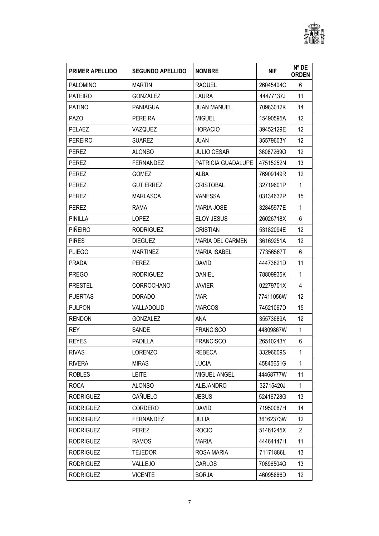

| <b>PRIMER APELLIDO</b> | <b>SEGUNDO APELLIDO</b> | <b>NOMBRE</b>           | <b>NIF</b> | N° DE<br><b>ORDEN</b> |
|------------------------|-------------------------|-------------------------|------------|-----------------------|
| <b>PALOMINO</b>        | <b>MARTIN</b>           | <b>RAQUEL</b>           | 26045404C  | 6                     |
| <b>PATEIRO</b>         | <b>GONZALEZ</b>         | LAURA                   | 44477137J  | 11                    |
| <b>PATINO</b>          | <b>PANIAGUA</b>         | <b>JUAN MANUEL</b>      | 70983012K  | 14                    |
| <b>PAZO</b>            | <b>PEREIRA</b>          | <b>MIGUEL</b>           | 15490595A  | 12                    |
| <b>PELAEZ</b>          | VAZQUEZ                 | <b>HORACIO</b>          | 39452129E  | 12                    |
| PEREIRO                | <b>SUAREZ</b>           | <b>JUAN</b>             | 35579603Y  | 12                    |
| <b>PEREZ</b>           | <b>ALONSO</b>           | <b>JULIO CESAR</b>      | 36087269Q  | 12                    |
| PEREZ                  | <b>FERNANDEZ</b>        | PATRICIA GUADALUPE      | 47515252N  | 13                    |
| <b>PEREZ</b>           | <b>GOMEZ</b>            | <b>ALBA</b>             | 76909149R  | 12                    |
| <b>PEREZ</b>           | <b>GUTIERREZ</b>        | <b>CRISTOBAL</b>        | 32719601P  | $\mathbf{1}$          |
| <b>PEREZ</b>           | <b>MARLASCA</b>         | VANESSA                 | 03134632P  | 15                    |
| <b>PEREZ</b>           | <b>RAMA</b>             | <b>MARIA JOSE</b>       | 32845977E  | $\mathbf{1}$          |
| PINILLA                | <b>LOPEZ</b>            | <b>ELOY JESUS</b>       | 26026718X  | 6                     |
| <b>PIÑEIRO</b>         | <b>RODRIGUEZ</b>        | <b>CRISTIAN</b>         | 53182094E  | 12                    |
| <b>PIRES</b>           | <b>DIEGUEZ</b>          | <b>MARIA DEL CARMEN</b> | 36169251A  | 12                    |
| <b>PLIEGO</b>          | <b>MARTINEZ</b>         | <b>MARIA ISABEL</b>     | 77356567T  | 6                     |
| <b>PRADA</b>           | <b>PEREZ</b>            | <b>DAVID</b>            | 44473821D  | 11                    |
| <b>PREGO</b>           | <b>RODRIGUEZ</b>        | <b>DANIEL</b>           | 78809935K  | $\mathbf{1}$          |
| <b>PRESTEL</b>         | <b>CORROCHANO</b>       | <b>JAVIER</b>           | 02279701X  | 4                     |
| <b>PUERTAS</b>         | <b>DORADO</b>           | <b>MAR</b>              | 77411056W  | 12                    |
| <b>PULPON</b>          | VALLADOLID              | <b>MARCOS</b>           | 74521067D  | 15                    |
| <b>RENDON</b>          | <b>GONZALEZ</b>         | ANA                     | 35573689A  | 12                    |
| <b>REY</b>             | <b>SANDE</b>            | <b>FRANCISCO</b>        | 44809867W  | $\mathbf{1}$          |
| <b>REYES</b>           | PADILLA                 | <b>FRANCISCO</b>        | 26510243Y  | 6                     |
| <b>RIVAS</b>           | <b>LORENZO</b>          | <b>REBECA</b>           | 33296609S  | 1                     |
| <b>RIVERA</b>          | <b>MIRAS</b>            | <b>LUCIA</b>            | 45845651G  | 1                     |
| <b>ROBLES</b>          | <b>LEITE</b>            | MIGUEL ANGEL            | 44468777W  | 11                    |
| <b>ROCA</b>            | <b>ALONSO</b>           | <b>ALEJANDRO</b>        | 32715420J  | $\mathbf{1}$          |
| <b>RODRIGUEZ</b>       | CAÑUELO                 | <b>JESUS</b>            | 52416728G  | 13                    |
| <b>RODRIGUEZ</b>       | <b>CORDERO</b>          | <b>DAVID</b>            | 71950067H  | 14                    |
| <b>RODRIGUEZ</b>       | <b>FERNANDEZ</b>        | JULIA                   | 36162373W  | 12                    |
| <b>RODRIGUEZ</b>       | PEREZ                   | <b>ROCIO</b>            | 51461245X  | 2                     |
| <b>RODRIGUEZ</b>       | <b>RAMOS</b>            | <b>MARIA</b>            | 44464147H  | 11                    |
| <b>RODRIGUEZ</b>       | <b>TEJEDOR</b>          | ROSA MARIA              | 71171886L  | 13                    |
| <b>RODRIGUEZ</b>       | VALLEJO                 | <b>CARLOS</b>           | 70896504Q  | 13                    |
| <b>RODRIGUEZ</b>       | <b>VICENTE</b>          | <b>BORJA</b>            | 46095666D  | 12                    |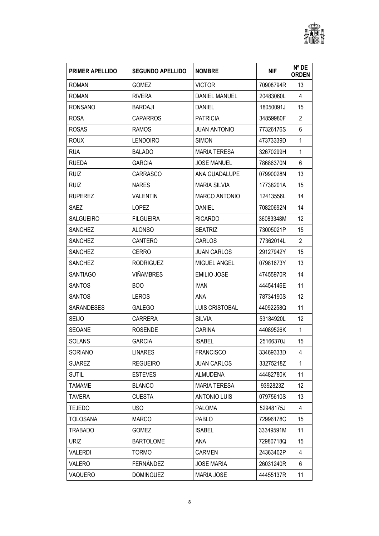

| <b>PRIMER APELLIDO</b> | <b>SEGUNDO APELLIDO</b> | <b>NOMBRE</b>        | <b>NIF</b> | N° DE<br><b>ORDEN</b> |
|------------------------|-------------------------|----------------------|------------|-----------------------|
| <b>ROMAN</b>           | <b>GOMEZ</b>            | <b>VICTOR</b>        | 70908794R  | 13                    |
| <b>ROMAN</b>           | <b>RIVERA</b>           | DANIEL MANUEL        | 20483060L  | 4                     |
| <b>RONSANO</b>         | <b>BARDAJI</b>          | <b>DANIEL</b>        | 18050091J  | 15                    |
| <b>ROSA</b>            | <b>CAPARROS</b>         | <b>PATRICIA</b>      | 34859980F  | $\overline{2}$        |
| <b>ROSAS</b>           | <b>RAMOS</b>            | <b>JUAN ANTONIO</b>  | 77326176S  | 6                     |
| <b>ROUX</b>            | <b>LENDOIRO</b>         | <b>SIMON</b>         | 47373339D  | 1                     |
| <b>RUA</b>             | <b>BALADO</b>           | <b>MARIA TERESA</b>  | 32670299H  | 1                     |
| <b>RUEDA</b>           | <b>GARCIA</b>           | <b>JOSE MANUEL</b>   | 78686370N  | 6                     |
| <b>RUIZ</b>            | <b>CARRASCO</b>         | ANA GUADALUPE        | 07990028N  | 13                    |
| <b>RUIZ</b>            | <b>NARES</b>            | <b>MARIA SILVIA</b>  | 17738201A  | 15                    |
| <b>RUPEREZ</b>         | <b>VALENTIN</b>         | <b>MARCO ANTONIO</b> | 12413556L  | 14                    |
| <b>SAEZ</b>            | <b>LOPEZ</b>            | <b>DANIEL</b>        | 70820692N  | 14                    |
| <b>SALGUEIRO</b>       | <b>FILGUEIRA</b>        | <b>RICARDO</b>       | 36083348M  | 12                    |
| <b>SANCHEZ</b>         | <b>ALONSO</b>           | <b>BEATRIZ</b>       | 73005021P  | 15                    |
| <b>SANCHEZ</b>         | <b>CANTERO</b>          | CARLOS               | 77362014L  | $\overline{2}$        |
| <b>SANCHEZ</b>         | <b>CERRO</b>            | <b>JUAN CARLOS</b>   | 29127942Y  | 15                    |
| <b>SANCHEZ</b>         | <b>RODRIGUEZ</b>        | MIGUEL ANGEL         | 07981673Y  | 13                    |
| <b>SANTIAGO</b>        | <b>VIÑAMBRES</b>        | <b>EMILIO JOSE</b>   | 47455970R  | 14                    |
| <b>SANTOS</b>          | BO <sub>O</sub>         | <b>IVAN</b>          | 44454146E  | 11                    |
| <b>SANTOS</b>          | <b>LEROS</b>            | ANA                  | 78734190S  | 12                    |
| SARANDESES             | <b>GALEGO</b>           | LUIS CRISTOBAL       | 44092258Q  | 11                    |
| <b>SEIJO</b>           | <b>CARRERA</b>          | <b>SILVIA</b>        | 53184920L  | $12 \overline{ }$     |
| <b>SEOANE</b>          | <b>ROSENDE</b>          | <b>CARINA</b>        | 44089526K  | 1                     |
| <b>SOLANS</b>          | <b>GARCIA</b>           | <b>ISABEL</b>        | 25166370J  | 15                    |
| <b>SORIANO</b>         | <b>LINARES</b>          | <b>FRANCISCO</b>     | 33469333D  | 4                     |
| <b>SUAREZ</b>          | <b>REGUEIRO</b>         | <b>JUAN CARLOS</b>   | 33275218Z  | 1                     |
| <b>SUTIL</b>           | <b>ESTEVES</b>          | ALMUDENA             | 44482780K  | 11                    |
| <b>TAMAME</b>          | <b>BLANCO</b>           | <b>MARIA TERESA</b>  | 9392823Z   | 12                    |
| <b>TAVERA</b>          | <b>CUESTA</b>           | <b>ANTONIO LUIS</b>  | 07975610S  | 13                    |
| <b>TEJEDO</b>          | <b>USO</b>              | <b>PALOMA</b>        | 52948175J  | 4                     |
| <b>TOLOSANA</b>        | <b>MARCO</b>            | <b>PABLO</b>         | 72996178C  | 15                    |
| <b>TRABADO</b>         | GOMEZ                   | <b>ISABEL</b>        | 33349591M  | 11                    |
| <b>URIZ</b>            | <b>BARTOLOME</b>        | ANA.                 | 72980718Q  | 15                    |
| <b>VALERDI</b>         | <b>TORMO</b>            | <b>CARMEN</b>        | 24363402P  | 4                     |
| VALERO                 | FERNÁNDEZ               | <b>JOSE MARIA</b>    | 26031240R  | 6                     |
| VAQUERO                | <b>DOMINGUEZ</b>        | <b>MARIA JOSE</b>    | 44455137R  | 11                    |